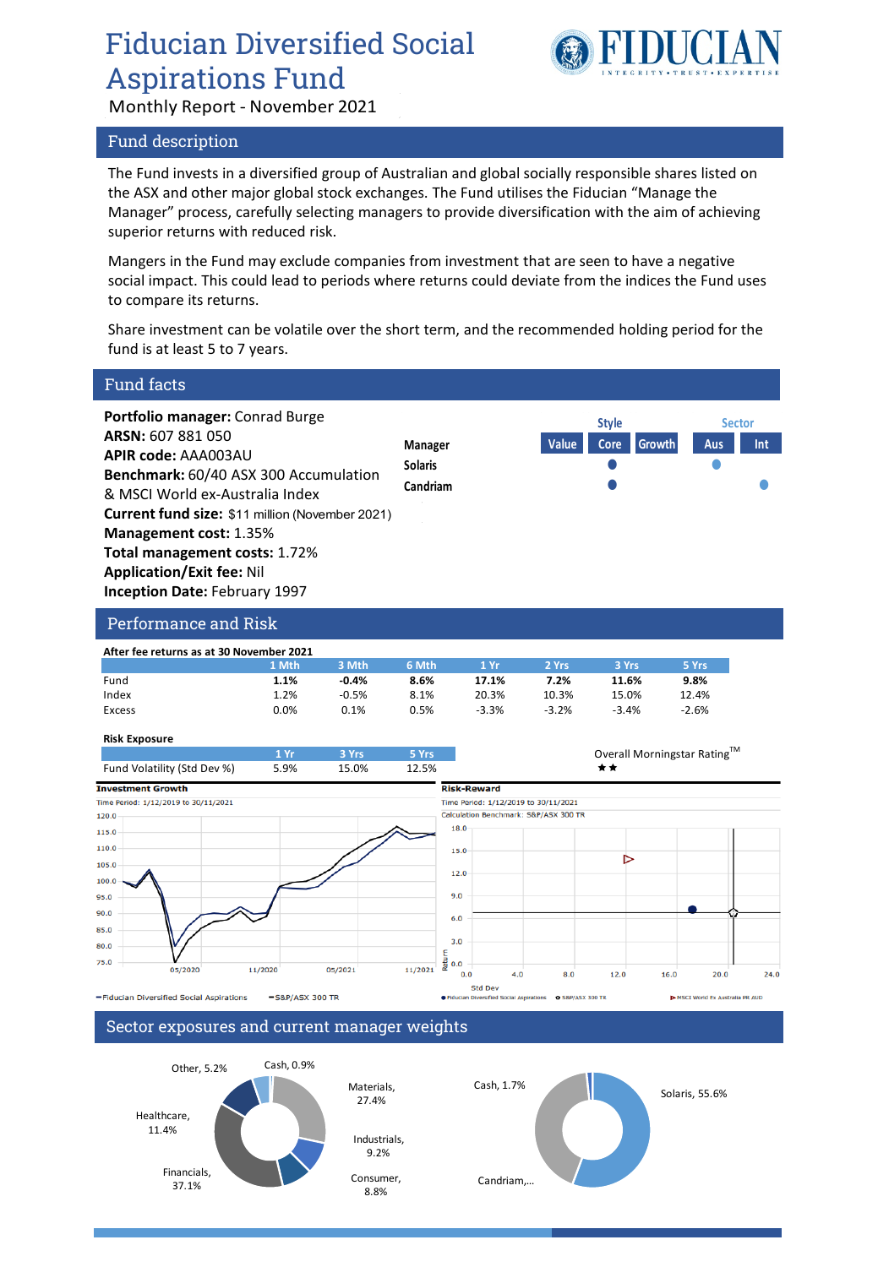## Fiducian Diversified Social Aspirations Fund



Monthly Report - November 2021

### Fund description

The Fund invests in a diversified group of Australian and global socially responsible shares listed on the ASX and other major global stock exchanges. The Fund utilises the Fiducian "Manage the Manager" process, carefully selecting managers to provide diversification with the aim of achieving superior returns with reduced risk.

Mangers in the Fund may exclude companies from investment that are seen to have a negative social impact. This could lead to periods where returns could deviate from the indices the Fund uses to compare its returns.

Share investment can be volatile over the short term, and the recommended holding period for the fund is at least 5 to 7 years.